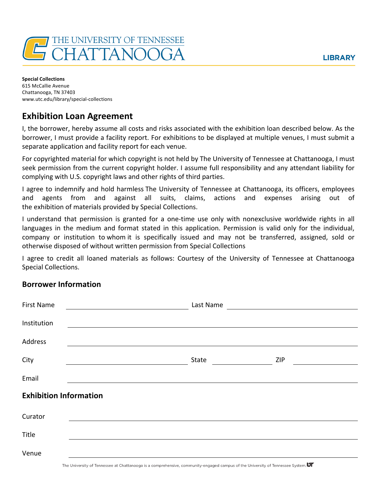

**Special Collections** 615 McCallie Avenue Chattanooga, TN 37403 www.utc.edu/library/special-collections

## **Exhibition Loan Agreement**

I, the borrower, hereby assume all costs and risks associated with the exhibition loan described below. As the borrower, I must provide a facility report. For exhibitions to be displayed at multiple venues, I must submit a separate application and facility report for each venue.

For copyrighted material for which copyright is not held by The University of Tennessee at Chattanooga, I must seek permission from the current copyright holder. I assume full responsibility and any attendant liability for complying with U.S. copyright laws and other rights of third parties.

I agree to indemnify and hold harmless The University of Tennessee at Chattanooga, its officers, employees and agents from and against all suits, claims, actions and expenses arising out of the exhibition of materials provided by Special Collections.

I understand that permission is granted for a one-time use only with nonexclusive worldwide rights in all languages in the medium and format stated in this application. Permission is valid only for the individual, company or institution to whom it is specifically issued and may not be transferred, assigned, sold or otherwise disposed of without written permission from Special Collections

I agree to credit all loaned materials as follows: Courtesy of the University of Tennessee at Chattanooga Special Collections.

## **Borrower Information**

| <b>First Name</b>                               | Last Name           |  |  |  |
|-------------------------------------------------|---------------------|--|--|--|
| Institution                                     |                     |  |  |  |
| Address                                         |                     |  |  |  |
| City<br><u> 1980 - Johann Barbara, martin a</u> | <b>ZIP</b><br>State |  |  |  |
| Email                                           |                     |  |  |  |
| <b>Exhibition Information</b>                   |                     |  |  |  |
| Curator                                         |                     |  |  |  |
| Title                                           |                     |  |  |  |
| Venue                                           |                     |  |  |  |